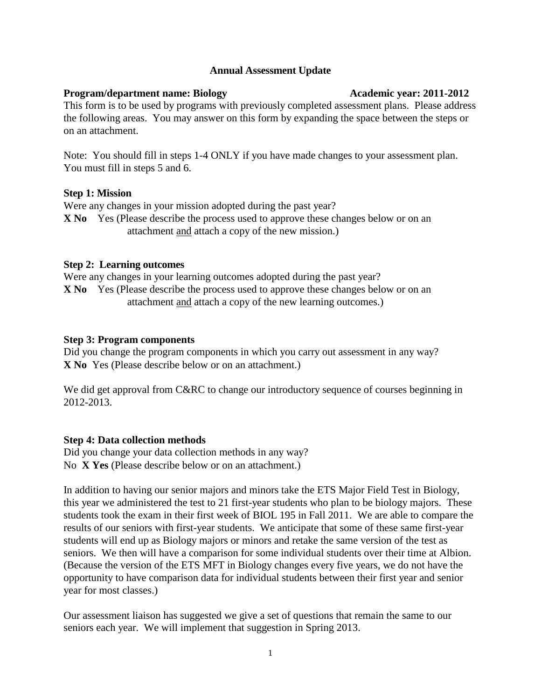# **Annual Assessment Update**

# **Program/department name: Biology Academic year: 2011-2012**

This form is to be used by programs with previously completed assessment plans. Please address the following areas. You may answer on this form by expanding the space between the steps or on an attachment.

Note: You should fill in steps 1-4 ONLY if you have made changes to your assessment plan. You must fill in steps 5 and 6.

# **Step 1: Mission**

Were any changes in your mission adopted during the past year?

**X No** Yes (Please describe the process used to approve these changes below or on an attachment and attach a copy of the new mission.)

# **Step 2: Learning outcomes**

Were any changes in your learning outcomes adopted during the past year? **X No** Yes (Please describe the process used to approve these changes below or on an attachment and attach a copy of the new learning outcomes.)

# **Step 3: Program components**

Did you change the program components in which you carry out assessment in any way? **X No** Yes (Please describe below or on an attachment.)

We did get approval from C&RC to change our introductory sequence of courses beginning in 2012-2013.

# **Step 4: Data collection methods**

Did you change your data collection methods in any way? No **X Yes** (Please describe below or on an attachment.)

In addition to having our senior majors and minors take the ETS Major Field Test in Biology, this year we administered the test to 21 first-year students who plan to be biology majors. These students took the exam in their first week of BIOL 195 in Fall 2011. We are able to compare the results of our seniors with first-year students. We anticipate that some of these same first-year students will end up as Biology majors or minors and retake the same version of the test as seniors. We then will have a comparison for some individual students over their time at Albion. (Because the version of the ETS MFT in Biology changes every five years, we do not have the opportunity to have comparison data for individual students between their first year and senior year for most classes.)

Our assessment liaison has suggested we give a set of questions that remain the same to our seniors each year. We will implement that suggestion in Spring 2013.

1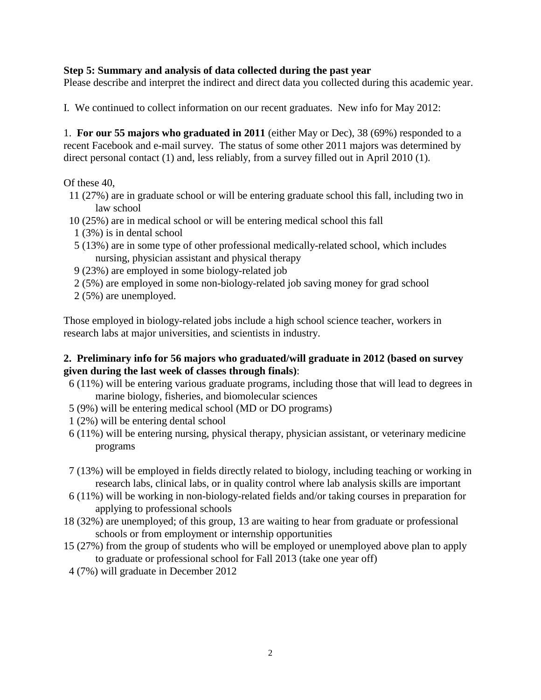# **Step 5: Summary and analysis of data collected during the past year**

Please describe and interpret the indirect and direct data you collected during this academic year.

I. We continued to collect information on our recent graduates. New info for May 2012:

1. **For our 55 majors who graduated in 2011** (either May or Dec), 38 (69%) responded to a recent Facebook and e-mail survey. The status of some other 2011 majors was determined by direct personal contact (1) and, less reliably, from a survey filled out in April 2010 (1).

# Of these 40,

- 11 (27%) are in graduate school or will be entering graduate school this fall, including two in law school
- 10 (25%) are in medical school or will be entering medical school this fall
- 1 (3%) is in dental school
- 5 (13%) are in some type of other professional medically-related school, which includes nursing, physician assistant and physical therapy
- 9 (23%) are employed in some biology-related job
- 2 (5%) are employed in some non-biology-related job saving money for grad school
- 2 (5%) are unemployed.

Those employed in biology-related jobs include a high school science teacher, workers in research labs at major universities, and scientists in industry.

# **2. Preliminary info for 56 majors who graduated/will graduate in 2012 (based on survey given during the last week of classes through finals)**:

- 6 (11%) will be entering various graduate programs, including those that will lead to degrees in marine biology, fisheries, and biomolecular sciences
- 5 (9%) will be entering medical school (MD or DO programs)
- 1 (2%) will be entering dental school
- 6 (11%) will be entering nursing, physical therapy, physician assistant, or veterinary medicine programs
- 7 (13%) will be employed in fields directly related to biology, including teaching or working in research labs, clinical labs, or in quality control where lab analysis skills are important
- 6 (11%) will be working in non-biology-related fields and/or taking courses in preparation for applying to professional schools
- 18 (32%) are unemployed; of this group, 13 are waiting to hear from graduate or professional schools or from employment or internship opportunities
- 15 (27%) from the group of students who will be employed or unemployed above plan to apply to graduate or professional school for Fall 2013 (take one year off)
- 4 (7%) will graduate in December 2012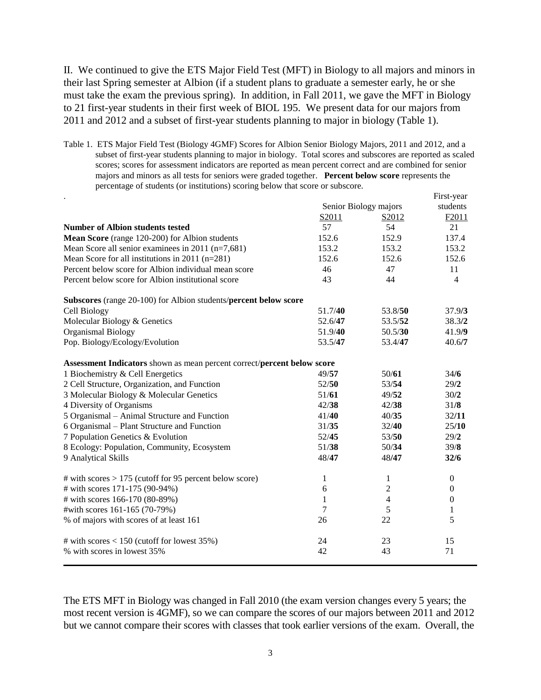II. We continued to give the ETS Major Field Test (MFT) in Biology to all majors and minors in their last Spring semester at Albion (if a student plans to graduate a semester early, he or she must take the exam the previous spring). In addition, in Fall 2011, we gave the MFT in Biology to 21 first-year students in their first week of BIOL 195. We present data for our majors from 2011 and 2012 and a subset of first-year students planning to major in biology (Table 1).

Table 1. ETS Major Field Test (Biology 4GMF) Scores for Albion Senior Biology Majors, 2011 and 2012, and a subset of first-year students planning to major in biology. Total scores and subscores are reported as scaled scores; scores for assessment indicators are reported as mean percent correct and are combined for senior majors and minors as all tests for seniors were graded together. **Percent below score** represents the percentage of students (or institutions) scoring below that score or subscore.

|                                                                         |                       |                   | First-year       |
|-------------------------------------------------------------------------|-----------------------|-------------------|------------------|
|                                                                         | Senior Biology majors |                   | students         |
|                                                                         | S2011                 | S <sub>2012</sub> | F2011            |
| <b>Number of Albion students tested</b>                                 | 57                    | 54                | 21               |
| Mean Score (range 120-200) for Albion students                          | 152.6                 | 152.9             | 137.4            |
| Mean Score all senior examinees in 2011 (n=7,681)                       | 153.2                 | 153.2             | 153.2            |
| Mean Score for all institutions in $2011$ (n=281)                       | 152.6                 | 152.6             | 152.6            |
| Percent below score for Albion individual mean score                    | 46                    | 47                | 11               |
| Percent below score for Albion institutional score                      | 43                    | 44                | $\overline{4}$   |
| Subscores (range 20-100) for Albion students/percent below score        |                       |                   |                  |
| Cell Biology                                                            | 51.7/40               | 53.8/50           | 37.9/3           |
| Molecular Biology & Genetics                                            | 52.6/47               | 53.5/52           | 38.3/2           |
| <b>Organismal Biology</b>                                               | 51.9/40               | 50.5/30           | 41.9/9           |
| Pop. Biology/Ecology/Evolution                                          | 53.5/47               | 53.4/47           | 40.6/7           |
| Assessment Indicators shown as mean percent correct/percent below score |                       |                   |                  |
| 1 Biochemistry & Cell Energetics                                        | 49/57                 | 50/61             | 34/6             |
| 2 Cell Structure, Organization, and Function                            | 52/50                 | 53/54             | 29/2             |
| 3 Molecular Biology & Molecular Genetics                                | 51/61                 | 49/52             | 30/2             |
| 4 Diversity of Organisms                                                | 42/38                 | 42/38             | 31/8             |
| 5 Organismal – Animal Structure and Function                            | 41/40                 | 40/35             | 32/11            |
| 6 Organismal - Plant Structure and Function                             | 31/35                 | 32/40             | 25/10            |
| 7 Population Genetics & Evolution                                       | 52/45                 | 53/50             | 29/2             |
| 8 Ecology: Population, Community, Ecosystem                             | 51/38                 | 50/34             | 39/8             |
| 9 Analytical Skills                                                     | 48/47                 | 48/47             | 32/6             |
| # with scores $> 175$ (cutoff for 95 percent below score)               | $\mathbf{1}$          | 1                 | $\boldsymbol{0}$ |
| # with scores 171-175 (90-94%)                                          | 6                     | $\overline{c}$    | $\boldsymbol{0}$ |
| # with scores 166-170 (80-89%)                                          | 1                     | $\overline{4}$    | $\boldsymbol{0}$ |
| #with scores 161-165 (70-79%)                                           | 7                     | 5                 | 1                |
| % of majors with scores of at least 161                                 | 26                    | 22                | 5                |
| # with scores $< 150$ (cutoff for lowest 35%)                           | 24                    | 23                | 15               |
| % with scores in lowest 35%                                             | 42                    | 43                | 71               |

The ETS MFT in Biology was changed in Fall 2010 (the exam version changes every 5 years; the most recent version is 4GMF), so we can compare the scores of our majors between 2011 and 2012 but we cannot compare their scores with classes that took earlier versions of the exam. Overall, the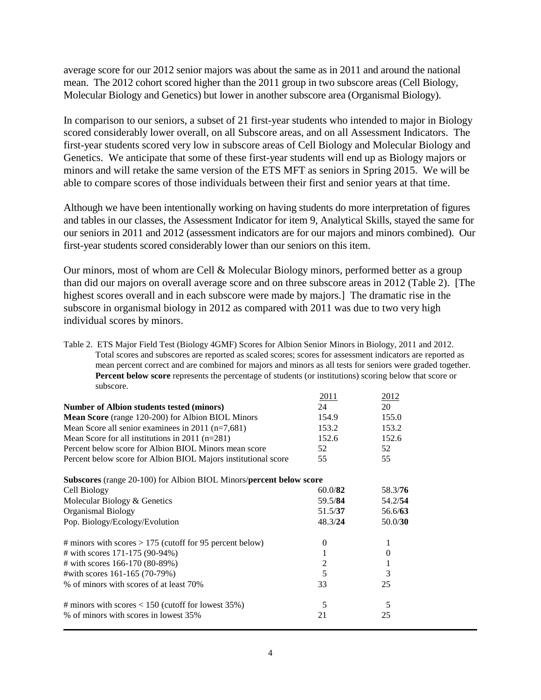average score for our 2012 senior majors was about the same as in 2011 and around the national mean. The 2012 cohort scored higher than the 2011 group in two subscore areas (Cell Biology, Molecular Biology and Genetics) but lower in another subscore area (Organismal Biology).

In comparison to our seniors, a subset of 21 first-year students who intended to major in Biology scored considerably lower overall, on all Subscore areas, and on all Assessment Indicators. The first-year students scored very low in subscore areas of Cell Biology and Molecular Biology and Genetics. We anticipate that some of these first-year students will end up as Biology majors or minors and will retake the same version of the ETS MFT as seniors in Spring 2015. We will be able to compare scores of those individuals between their first and senior years at that time.

Although we have been intentionally working on having students do more interpretation of figures and tables in our classes, the Assessment Indicator for item 9, Analytical Skills, stayed the same for our seniors in 2011 and 2012 (assessment indicators are for our majors and minors combined). Our first-year students scored considerably lower than our seniors on this item.

Our minors, most of whom are Cell & Molecular Biology minors, performed better as a group than did our majors on overall average score and on three subscore areas in 2012 (Table 2). [The highest scores overall and in each subscore were made by majors.] The dramatic rise in the subscore in organismal biology in 2012 as compared with 2011 was due to two very high individual scores by minors.

Table 2. ETS Major Field Test (Biology 4GMF) Scores for Albion Senior Minors in Biology, 2011 and 2012. Total scores and subscores are reported as scaled scores; scores for assessment indicators are reported as mean percent correct and are combined for majors and minors as all tests for seniors were graded together. **Percent below score** represents the percentage of students (or institutions) scoring below that score or subscore.

|                                                                     | 2011           | 2012     |
|---------------------------------------------------------------------|----------------|----------|
| Number of Albion students tested (minors)                           | 24             | 20       |
| <b>Mean Score</b> (range 120-200) for Albion BIOL Minors            | 154.9          | 155.0    |
| Mean Score all senior examinees in $2011$ (n=7,681)                 | 153.2          | 153.2    |
| Mean Score for all institutions in 2011 ( $n=281$ )                 | 152.6          | 152.6    |
| Percent below score for Albion BIOL Minors mean score               | 52             | 52       |
| Percent below score for Albion BIOL Majors institutional score      | 55             | 55       |
| Subscores (range 20-100) for Albion BIOL Minors/percent below score |                |          |
| Cell Biology                                                        | 60.0/82        | 58.3/76  |
| Molecular Biology & Genetics                                        | 59.5/84        | 54.2/54  |
| Organismal Biology                                                  | 51.5/37        | 56.6/63  |
| Pop. Biology/Ecology/Evolution                                      | 48.3/24        | 50.0/30  |
| # minors with scores $> 175$ (cutoff for 95 percent below)          | 0              | 1        |
| # with scores 171-175 (90-94%)                                      | 1              | $\theta$ |
| # with scores 166-170 (80-89%)                                      | $\overline{2}$ | 1        |
| #with scores 161-165 (70-79%)                                       | 5              | 3        |
| % of minors with scores of at least 70%                             | 33             | 25       |
| # minors with scores $< 150$ (cutoff for lowest 35%)                | 5              | 5        |
| % of minors with scores in lowest 35%                               | 21             | 25       |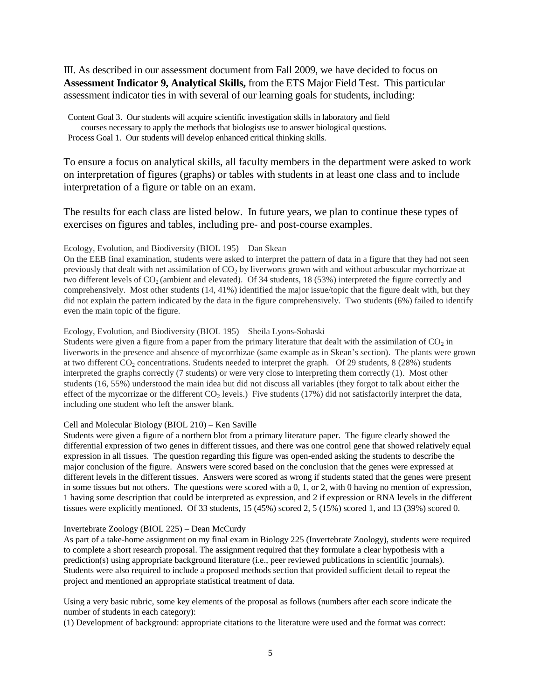III. As described in our assessment document from Fall 2009, we have decided to focus on **Assessment Indicator 9, Analytical Skills,** from the ETS Major Field Test. This particular assessment indicator ties in with several of our learning goals for students, including:

 Content Goal 3. Our students will acquire scientific investigation skills in laboratory and field courses necessary to apply the methods that biologists use to answer biological questions. Process Goal 1. Our students will develop enhanced critical thinking skills.

To ensure a focus on analytical skills, all faculty members in the department were asked to work on interpretation of figures (graphs) or tables with students in at least one class and to include interpretation of a figure or table on an exam.

The results for each class are listed below. In future years, we plan to continue these types of exercises on figures and tables, including pre- and post-course examples.

## Ecology, Evolution, and Biodiversity (BIOL 195) – Dan Skean

On the EEB final examination, students were asked to interpret the pattern of data in a figure that they had not seen previously that dealt with net assimilation of  $CO<sub>2</sub>$  by liverworts grown with and without arbuscular mychorrizae at two different levels of  $CO<sub>2</sub>$  (ambient and elevated). Of 34 students, 18 (53%) interpreted the figure correctly and comprehensively. Most other students (14, 41%) identified the major issue/topic that the figure dealt with, but they did not explain the pattern indicated by the data in the figure comprehensively. Two students (6%) failed to identify even the main topic of the figure.

Ecology, Evolution, and Biodiversity (BIOL 195) – Sheila Lyons-Sobaski

Students were given a figure from a paper from the primary literature that dealt with the assimilation of  $CO<sub>2</sub>$  in liverworts in the presence and absence of mycorrhizae (same example as in Skean's section). The plants were grown at two different CO<sub>2</sub> concentrations. Students needed to interpret the graph. Of 29 students, 8 (28%) students interpreted the graphs correctly (7 students) or were very close to interpreting them correctly (1). Most other students (16, 55%) understood the main idea but did not discuss all variables (they forgot to talk about either the effect of the mycorrizae or the different  $CO<sub>2</sub>$  levels.) Five students (17%) did not satisfactorily interpret the data, including one student who left the answer blank.

## Cell and Molecular Biology (BIOL 210) – Ken Saville

Students were given a figure of a northern blot from a primary literature paper. The figure clearly showed the differential expression of two genes in different tissues, and there was one control gene that showed relatively equal expression in all tissues. The question regarding this figure was open-ended asking the students to describe the major conclusion of the figure. Answers were scored based on the conclusion that the genes were expressed at different levels in the different tissues. Answers were scored as wrong if students stated that the genes were present in some tissues but not others. The questions were scored with a  $0, 1$ , or  $2$ , with 0 having no mention of expression, 1 having some description that could be interpreted as expression, and 2 if expression or RNA levels in the different tissues were explicitly mentioned. Of 33 students, 15 (45%) scored 2, 5 (15%) scored 1, and 13 (39%) scored 0.

## Invertebrate Zoology (BIOL 225) – Dean McCurdy

As part of a take-home assignment on my final exam in Biology 225 (Invertebrate Zoology), students were required to complete a short research proposal. The assignment required that they formulate a clear hypothesis with a prediction(s) using appropriate background literature (i.e., peer reviewed publications in scientific journals). Students were also required to include a proposed methods section that provided sufficient detail to repeat the project and mentioned an appropriate statistical treatment of data.

Using a very basic rubric, some key elements of the proposal as follows (numbers after each score indicate the number of students in each category):

(1) Development of background: appropriate citations to the literature were used and the format was correct: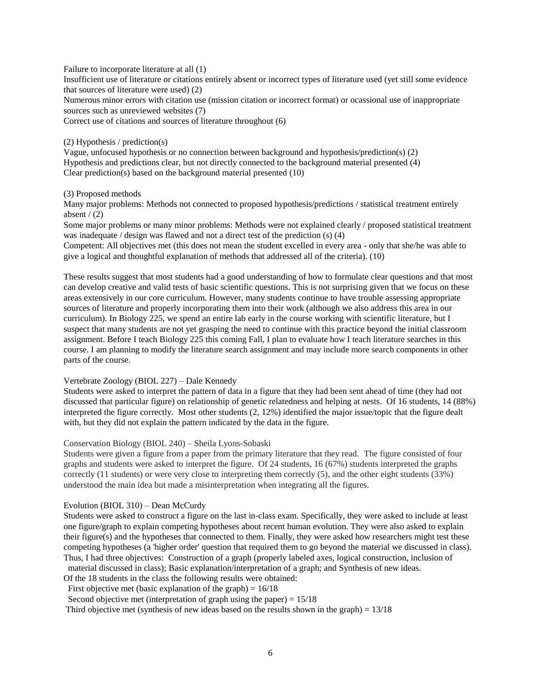Failure to incorporate literature at all (1)

Insufficient use of literature or citations entirely absent or incorrect types of literature used (yet still some evidence that sources of literature were used) (2)

Numerous minor errors with citation use (mission citation or incorrect format) or ocassional use of inappropriate sources such as unreviewed websites (7)

Correct use of citations and sources of literature throughout (6)

#### (2) Hypothesis / prediction(s)

Vague, unfocused hypothesis or no connection between background and hypothesis/prediction(s) (2) Hypothesis and predictions clear, but not directly connected to the background material presented (4) Clear prediction(s) based on the background material presented (10)

## (3) Proposed methods

Many major problems: Methods not connected to proposed hypothesis/predictions / statistical treatment entirely absent  $/(2)$ 

Some major problems or many minor problems: Methods were not explained clearly / proposed statistical treatment was inadequate / design was flawed and not a direct test of the prediction (s) (4)

Competent: All objectives met (this does not mean the student excelled in every area - only that she/he was able to give a logical and thoughtful explanation of methods that addressed all of the criteria). (10)

These results suggest that most students had a good understanding of how to formulate clear questions and that most can develop creative and valid tests of basic scientific questions. This is not surprising given that we focus on these areas extensively in our core curriculum. However, many students continue to have trouble assessing appropriate sources of literature and properly incorporating them into their work (although we also address this area in our curriculum). In Biology 225, we spend an entire lab early in the course working with scientific literature, but I suspect that many students are not yet grasping the need to continue with this practice beyond the initial classroom assignment. Before I teach Biology 225 this coming Fall, I plan to evaluate how I teach literature searches in this course. I am planning to modify the literature search assignment and may include more search components in other parts of the course.

## Vertebrate Zoology (BIOL 227) – Dale Kennedy

Students were asked to interpret the pattern of data in a figure that they had been sent ahead of time (they had not discussed that particular figure) on relationship of genetic relatedness and helping at nests. Of 16 students, 14 (88%) interpreted the figure correctly. Most other students (2, 12%) identified the major issue/topic that the figure dealt with, but they did not explain the pattern indicated by the data in the figure.

## Conservation Biology (BIOL 240) – Sheila Lyons-Sobaski

Students were given a figure from a paper from the primary literature that they read. The figure consisted of four graphs and students were asked to interpret the figure. Of 24 students, 16 (67%) students interpreted the graphs correctly (11 students) or were very close to interpreting them correctly (5), and the other eight students (33%) understood the main idea but made a misinterpretation when integrating all the figures.

## Evolution (BIOL 310) – Dean McCurdy

Students were asked to construct a figure on the last in-class exam. Specifically, they were asked to include at least one figure/graph to explain competing hypotheses about recent human evolution. They were also asked to explain their figure(s) and the hypotheses that connected to them. Finally, they were asked how researchers might test these competing hypotheses (a 'higher order' question that required them to go beyond the material we discussed in class). Thus, I had three objectives: Construction of a graph (properly labeled axes, logical construction, inclusion of

material discussed in class); Basic explanation/interpretation of a graph; and Synthesis of new ideas.

Of the 18 students in the class the following results were obtained:

First objective met (basic explanation of the graph) =  $16/18$ 

Second objective met (interpretation of graph using the paper) =  $15/18$ 

Third objective met (synthesis of new ideas based on the results shown in the graph) = 13/18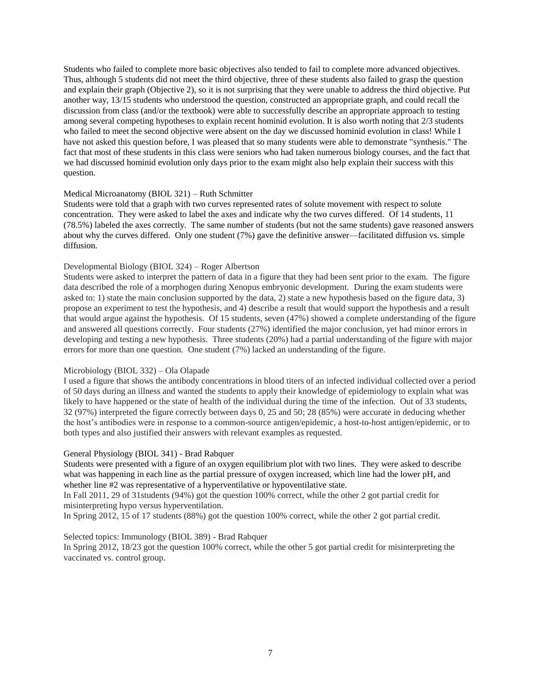Students who failed to complete more basic objectives also tended to fail to complete more advanced objectives. Thus, although 5 students did not meet the third objective, three of these students also failed to grasp the question and explain their graph (Objective 2), so it is not surprising that they were unable to address the third objective. Put another way, 13/15 students who understood the question, constructed an appropriate graph, and could recall the discussion from class (and/or the textbook) were able to successfully describe an appropriate approach to testing among several competing hypotheses to explain recent hominid evolution. It is also worth noting that 2/3 students who failed to meet the second objective were absent on the day we discussed hominid evolution in class! While I have not asked this question before, I was pleased that so many students were able to demonstrate "synthesis." The fact that most of these students in this class were seniors who had taken numerous biology courses, and the fact that we had discussed hominid evolution only days prior to the exam might also help explain their success with this question.

## Medical Microanatomy (BIOL 321) – Ruth Schmitter

Students were told that a graph with two curves represented rates of solute movement with respect to solute concentration. They were asked to label the axes and indicate why the two curves differed. Of 14 students, 11 (78.5%) labeled the axes correctly. The same number of students (but not the same students) gave reasoned answers about why the curves differed. Only one student (7%) gave the definitive answer—facilitated diffusion vs. simple diffusion.

#### Developmental Biology (BIOL 324) – Roger Albertson

Students were asked to interpret the pattern of data in a figure that they had been sent prior to the exam. The figure data described the role of a morphogen during Xenopus embryonic development. During the exam students were asked to: 1) state the main conclusion supported by the data, 2) state a new hypothesis based on the figure data, 3) propose an experiment to test the hypothesis, and 4) describe a result that would support the hypothesis and a result that would argue against the hypothesis. Of 15 students, seven (47%) showed a complete understanding of the figure and answered all questions correctly. Four students (27%) identified the major conclusion, yet had minor errors in developing and testing a new hypothesis. Three students (20%) had a partial understanding of the figure with major errors for more than one question. One student (7%) lacked an understanding of the figure.

## Microbiology (BIOL 332) – Ola Olapade

I used a figure that shows the antibody concentrations in blood titers of an infected individual collected over a period of 50 days during an illness and wanted the students to apply their knowledge of epidemiology to explain what was likely to have happened or the state of health of the individual during the time of the infection. Out of 33 students, 32 (97%) interpreted the figure correctly between days 0, 25 and 50; 28 (85%) were accurate in deducing whether the host's antibodies were in response to a common-source antigen/epidemic, a host-to-host antigen/epidemic, or to both types and also justified their answers with relevant examples as requested.

## General Physiology (BIOL 341) - Brad Rabquer

Students were presented with a figure of an oxygen equilibrium plot with two lines. They were asked to describe what was happening in each line as the partial pressure of oxygen increased, which line had the lower pH, and whether line #2 was representative of a hyperventilative or hypoventilative state.

In Fall 2011, 29 of 31students (94%) got the question 100% correct, while the other 2 got partial credit for misinterpreting hypo versus hyperventilation.

In Spring 2012, 15 of 17 students (88%) got the question 100% correct, while the other 2 got partial credit.

## Selected topics: Immunology (BIOL 389) - Brad Rabquer

In Spring 2012, 18/23 got the question 100% correct, while the other 5 got partial credit for misinterpreting the vaccinated vs. control group.